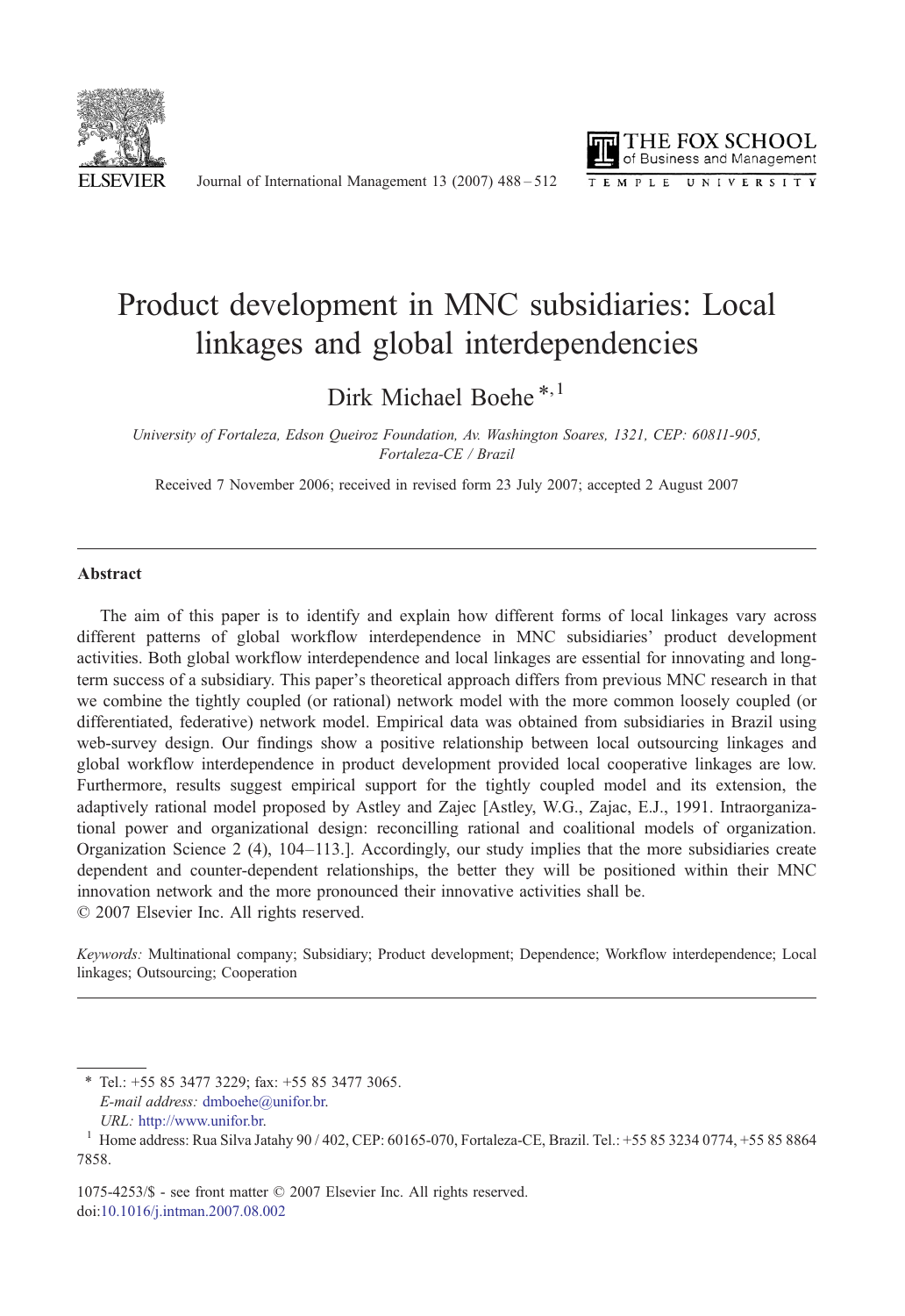

Journal of International Management 13 (2007) 488–512



## Product development in MNC subsidiaries: Local linkages and global interdependencies

Dirk Michael Boehe<sup>\*,1</sup>

University of Fortaleza, Edson Queiroz Foundation, Av. Washington Soares, 1321, CEP: 60811-905, Fortaleza-CE / Brazil

Received 7 November 2006; received in revised form 23 July 2007; accepted 2 August 2007

## Abstract

The aim of this paper is to identify and explain how different forms of local linkages vary across different patterns of global workflow interdependence in MNC subsidiaries' product development activities. Both global workflow interdependence and local linkages are essential for innovating and longterm success of a subsidiary. This paper's theoretical approach differs from previous MNC research in that we combine the tightly coupled (or rational) network model with the more common loosely coupled (or differentiated, federative) network model. Empirical data was obtained from subsidiaries in Brazil using web-survey design. Our findings show a positive relationship between local outsourcing linkages and global workflow interdependence in product development provided local cooperative linkages are low. Furthermore, results suggest empirical support for the tightly coupled model and its extension, the adaptively rational model proposed by Astley and Zajec [Astley, W.G., Zajac, E.J., 1991. Intraorganizational power and organizational design: reconcilling rational and coalitional models of organization. Organization Science 2 (4), 104–113.]. Accordingly, our study implies that the more subsidiaries create dependent and counter-dependent relationships, the better they will be positioned within their MNC innovation network and the more pronounced their innovative activities shall be. © 2007 Elsevier Inc. All rights reserved.

Keywords: Multinational company; Subsidiary; Product development; Dependence; Workflow interdependence; Local linkages; Outsourcing; Cooperation

⁎ Tel.: +55 85 3477 3229; fax: +55 85 3477 3065. E-mail address: [dmboehe@unifor.br.](mailto:dmboehe@unifor.br)

1075-4253/\$ - see front matter © 2007 Elsevier Inc. All rights reserved. doi[:10.1016/j.intman.2007.08.002](http://dx.doi.org/10.1016/j.intman.2007.08.002)

URL: [http://www.unifor.br.](http://www.unifor.br) <sup>1</sup> Home address: Rua Silva Jatahy 90 / 402, CEP: 60165-070, Fortaleza-CE, Brazil. Tel.: +55 85 3234 0774, +55 85 8864 7858.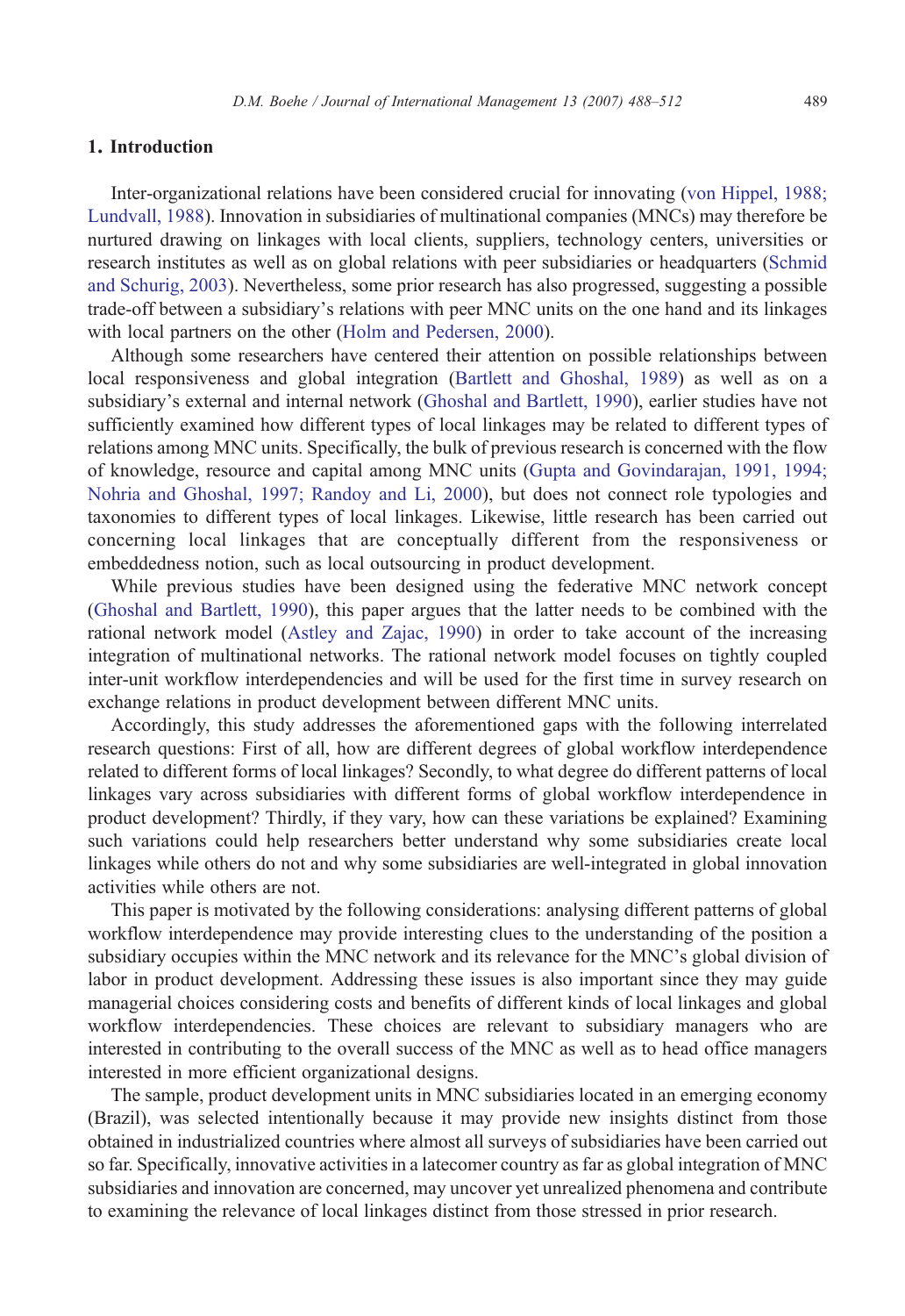## 1. Introduction

Inter-organizational relations have been considered crucial for innovating [\(von Hippel, 1988;](#page--1-0) [Lundvall, 1988\)](#page--1-0). Innovation in subsidiaries of multinational companies (MNCs) may therefore be nurtured drawing on linkages with local clients, suppliers, technology centers, universities or research institutes as well as on global relations with peer subsidiaries or headquarters ([Schmid](#page--1-0) [and Schurig, 2003\)](#page--1-0). Nevertheless, some prior research has also progressed, suggesting a possible trade-off between a subsidiary's relations with peer MNC units on the one hand and its linkages with local partners on the other [\(Holm and Pedersen, 2000](#page--1-0)).

Although some researchers have centered their attention on possible relationships between local responsiveness and global integration [\(Bartlett and Ghoshal, 1989\)](#page--1-0) as well as on a subsidiary's external and internal network [\(Ghoshal and Bartlett, 1990](#page--1-0)), earlier studies have not sufficiently examined how different types of local linkages may be related to different types of relations among MNC units. Specifically, the bulk of previous research is concerned with the flow of knowledge, resource and capital among MNC units ([Gupta and Govindarajan, 1991, 1994;](#page--1-0) [Nohria and Ghoshal, 1997; Randoy and Li, 2000](#page--1-0)), but does not connect role typologies and taxonomies to different types of local linkages. Likewise, little research has been carried out concerning local linkages that are conceptually different from the responsiveness or embeddedness notion, such as local outsourcing in product development.

While previous studies have been designed using the federative MNC network concept ([Ghoshal and Bartlett, 1990](#page--1-0)), this paper argues that the latter needs to be combined with the rational network model ([Astley and Zajac, 1990](#page--1-0)) in order to take account of the increasing integration of multinational networks. The rational network model focuses on tightly coupled inter-unit workflow interdependencies and will be used for the first time in survey research on exchange relations in product development between different MNC units.

Accordingly, this study addresses the aforementioned gaps with the following interrelated research questions: First of all, how are different degrees of global workflow interdependence related to different forms of local linkages? Secondly, to what degree do different patterns of local linkages vary across subsidiaries with different forms of global workflow interdependence in product development? Thirdly, if they vary, how can these variations be explained? Examining such variations could help researchers better understand why some subsidiaries create local linkages while others do not and why some subsidiaries are well-integrated in global innovation activities while others are not.

This paper is motivated by the following considerations: analysing different patterns of global workflow interdependence may provide interesting clues to the understanding of the position a subsidiary occupies within the MNC network and its relevance for the MNC's global division of labor in product development. Addressing these issues is also important since they may guide managerial choices considering costs and benefits of different kinds of local linkages and global workflow interdependencies. These choices are relevant to subsidiary managers who are interested in contributing to the overall success of the MNC as well as to head office managers interested in more efficient organizational designs.

The sample, product development units in MNC subsidiaries located in an emerging economy (Brazil), was selected intentionally because it may provide new insights distinct from those obtained in industrialized countries where almost all surveys of subsidiaries have been carried out so far. Specifically, innovative activities in a latecomer country as far as global integration of MNC subsidiaries and innovation are concerned, may uncover yet unrealized phenomena and contribute to examining the relevance of local linkages distinct from those stressed in prior research.